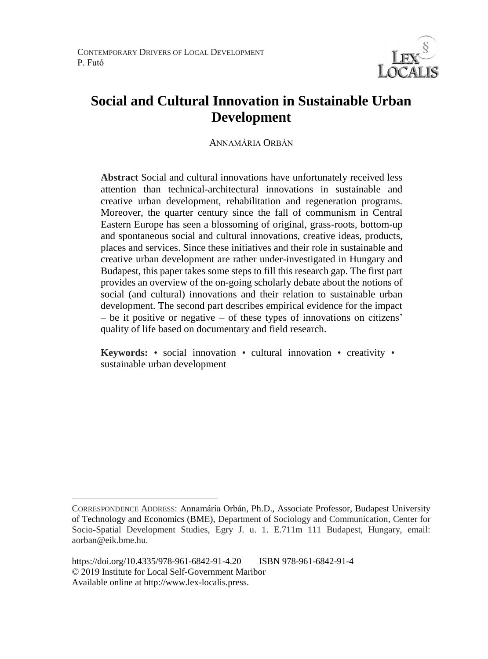

# **Social and Cultural Innovation in Sustainable Urban Development**

ANNAMÁRIA ORBÁN

**Abstract** Social and cultural innovations have unfortunately received less attention than technical-architectural innovations in sustainable and creative urban development, rehabilitation and regeneration programs. Moreover, the quarter century since the fall of communism in Central Eastern Europe has seen a blossoming of original, grass-roots, bottom-up and spontaneous social and cultural innovations, creative ideas, products, places and services. Since these initiatives and their role in sustainable and creative urban development are rather under-investigated in Hungary and Budapest, this paper takes some steps to fill this research gap. The first part provides an overview of the on-going scholarly debate about the notions of social (and cultural) innovations and their relation to sustainable urban development. The second part describes empirical evidence for the impact – be it positive or negative – of these types of innovations on citizens' quality of life based on documentary and field research.

**Keywords:** • social innovation • cultural innovation • creativity • sustainable urban development

 $\overline{a}$ 

CORRESPONDENCE ADDRESS: Annamária Orbán, Ph.D., Associate Professor, Budapest University of Technology and Economics (BME), Department of Sociology and Communication, Center for Socio-Spatial Development Studies, Egry J. u. 1. E.711m 111 Budapest, Hungary, email: aorban@eik.bme.hu.

https://doi.org/10.4335/978-961-6842-91-4.20 ISBN 978-961-6842-91-4 © 2019 Institute for Local Self-Government Maribor Available online at http://www.lex-localis.press.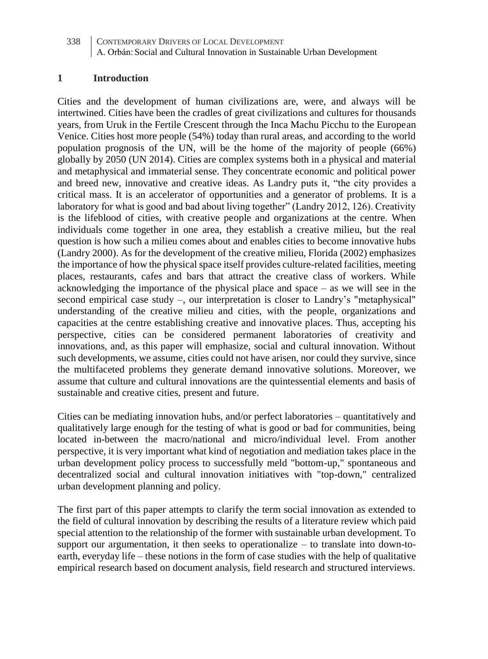#### **1 Introduction**

Cities and the development of human civilizations are, were, and always will be intertwined. Cities have been the cradles of great civilizations and cultures for thousands years, from Uruk in the Fertile Crescent through the Inca Machu Picchu to the European Venice. Cities host more people (54%) today than rural areas, and according to the world population prognosis of the UN, will be the home of the majority of people (66%) globally by 2050 (UN 2014). Cities are complex systems both in a physical and material and metaphysical and immaterial sense. They concentrate economic and political power and breed new, innovative and creative ideas. As Landry puts it, "the city provides a critical mass. It is an accelerator of opportunities and a generator of problems. It is a laboratory for what is good and bad about living together" (Landry 2012, 126). Creativity is the lifeblood of cities, with creative people and organizations at the centre. When individuals come together in one area, they establish a creative milieu, but the real question is how such a milieu comes about and enables cities to become innovative hubs (Landry 2000). As for the development of the creative milieu, Florida (2002) emphasizes the importance of how the physical space itself provides culture-related facilities, meeting places, restaurants, cafes and bars that attract the creative class of workers. While acknowledging the importance of the physical place and space – as we will see in the second empirical case study –, our interpretation is closer to Landry's "metaphysical" understanding of the creative milieu and cities, with the people, organizations and capacities at the centre establishing creative and innovative places. Thus, accepting his perspective, cities can be considered permanent laboratories of creativity and innovations, and, as this paper will emphasize, social and cultural innovation. Without such developments, we assume, cities could not have arisen, nor could they survive, since the multifaceted problems they generate demand innovative solutions. Moreover, we assume that culture and cultural innovations are the quintessential elements and basis of sustainable and creative cities, present and future.

Cities can be mediating innovation hubs, and/or perfect laboratories – quantitatively and qualitatively large enough for the testing of what is good or bad for communities, being located in-between the macro/national and micro/individual level. From another perspective, it is very important what kind of negotiation and mediation takes place in the urban development policy process to successfully meld "bottom-up," spontaneous and decentralized social and cultural innovation initiatives with "top-down," centralized urban development planning and policy.

The first part of this paper attempts to clarify the term social innovation as extended to the field of cultural innovation by describing the results of a literature review which paid special attention to the relationship of the former with sustainable urban development. To support our argumentation, it then seeks to operationalize  $-$  to translate into down-toearth, everyday life – these notions in the form of case studies with the help of qualitative empirical research based on document analysis, field research and structured interviews.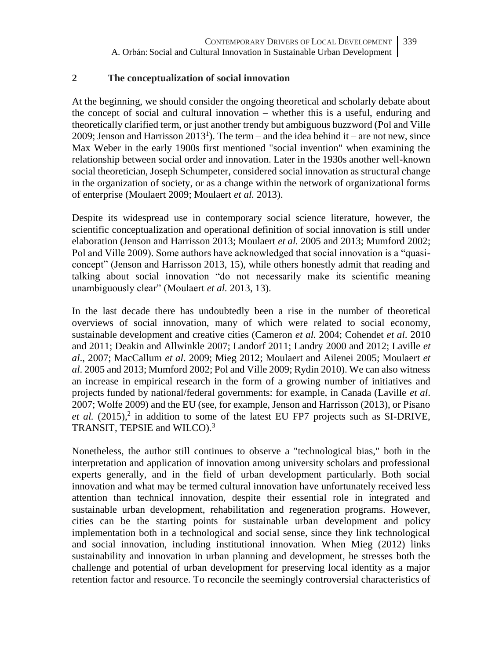#### **2 The conceptualization of social innovation**

At the beginning, we should consider the ongoing theoretical and scholarly debate about the concept of social and cultural innovation – whether this is a useful, enduring and theoretically clarified term, or just another trendy but ambiguous buzzword (Pol and Ville 2009; Jenson and Harrisson  $2013<sup>1</sup>$ ). The term – and the idea behind it – are not new, since Max Weber in the early 1900s first mentioned "social invention" when examining the relationship between social order and innovation. Later in the 1930s another well-known social theoretician, Joseph Schumpeter, considered social innovation as structural change in the organization of society, or as a change within the network of organizational forms of enterprise (Moulaert 2009; Moulaert *et al.* 2013).

Despite its widespread use in contemporary social science literature, however, the scientific conceptualization and operational definition of social innovation is still under elaboration (Jenson and Harrisson 2013; Moulaert *et al.* 2005 and 2013; Mumford 2002; Pol and Ville 2009). Some authors have acknowledged that social innovation is a "quasiconcept" (Jenson and Harrisson 2013, 15), while others honestly admit that reading and talking about social innovation "do not necessarily make its scientific meaning unambiguously clear" (Moulaert *et al.* 2013, 13).

In the last decade there has undoubtedly been a rise in the number of theoretical overviews of social innovation, many of which were related to social economy, sustainable development and creative cities (Cameron *et al.* 2004; Cohendet *et al*. 2010 and 2011; Deakin and Allwinkle 2007; Landorf 2011; Landry 2000 and 2012; Laville *et al*., 2007; MacCallum *et al*. 2009; Mieg 2012; Moulaert and Ailenei 2005; Moulaert *et al*. 2005 and 2013; Mumford 2002; Pol and Ville 2009; Rydin 2010). We can also witness an increase in empirical research in the form of a growing number of initiatives and projects funded by national/federal governments: for example, in Canada (Laville *et al*. 2007; Wolfe 2009) and the EU (see, for example, Jenson and Harrisson (2013), or Pisano *et al.*  $(2015)$ ,<sup>2</sup> in addition to some of the latest EU FP7 projects such as SI-DRIVE, TRANSIT, TEPSIE and WILCO).<sup>3</sup>

Nonetheless, the author still continues to observe a "technological bias," both in the interpretation and application of innovation among university scholars and professional experts generally, and in the field of urban development particularly. Both social innovation and what may be termed cultural innovation have unfortunately received less attention than technical innovation, despite their essential role in integrated and sustainable urban development, rehabilitation and regeneration programs. However, cities can be the starting points for sustainable urban development and policy implementation both in a technological and social sense, since they link technological and social innovation, including institutional innovation. When Mieg (2012) links sustainability and innovation in urban planning and development, he stresses both the challenge and potential of urban development for preserving local identity as a major retention factor and resource. To reconcile the seemingly controversial characteristics of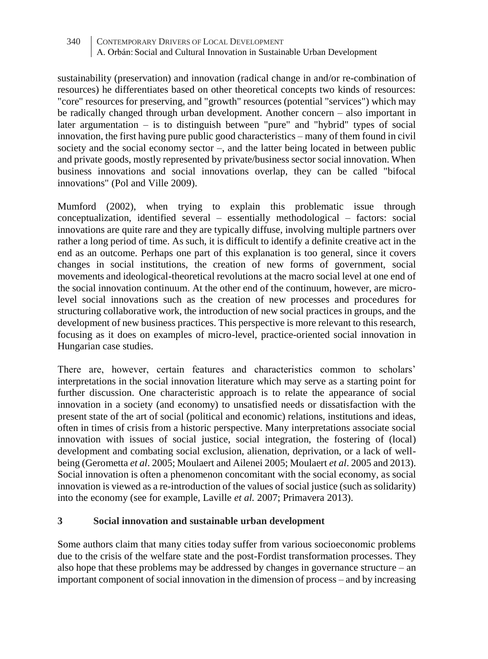sustainability (preservation) and innovation (radical change in and/or re-combination of resources) he differentiates based on other theoretical concepts two kinds of resources: "core" resources for preserving, and "growth" resources (potential "services") which may be radically changed through urban development. Another concern – also important in later argumentation – is to distinguish between "pure" and "hybrid" types of social innovation, the first having pure public good characteristics – many of them found in civil society and the social economy sector –, and the latter being located in between public and private goods, mostly represented by private/business sector social innovation. When business innovations and social innovations overlap, they can be called "bifocal innovations" (Pol and Ville 2009).

Mumford (2002), when trying to explain this problematic issue through conceptualization, identified several – essentially methodological – factors: social innovations are quite rare and they are typically diffuse, involving multiple partners over rather a long period of time. As such, it is difficult to identify a definite creative act in the end as an outcome. Perhaps one part of this explanation is too general, since it covers changes in social institutions, the creation of new forms of government, social movements and ideological-theoretical revolutions at the macro social level at one end of the social innovation continuum. At the other end of the continuum, however, are microlevel social innovations such as the creation of new processes and procedures for structuring collaborative work, the introduction of new social practices in groups, and the development of new business practices. This perspective is more relevant to this research, focusing as it does on examples of micro-level, practice-oriented social innovation in Hungarian case studies.

There are, however, certain features and characteristics common to scholars' interpretations in the social innovation literature which may serve as a starting point for further discussion. One characteristic approach is to relate the appearance of social innovation in a society (and economy) to unsatisfied needs or dissatisfaction with the present state of the art of social (political and economic) relations, institutions and ideas, often in times of crisis from a historic perspective. Many interpretations associate social innovation with issues of social justice, social integration, the fostering of (local) development and combating social exclusion, alienation, deprivation, or a lack of wellbeing (Gerometta *et al*. 2005; Moulaert and Ailenei 2005; Moulaert *et al*. 2005 and 2013). Social innovation is often a phenomenon concomitant with the social economy, as social innovation is viewed as a re-introduction of the values of social justice (such as solidarity) into the economy (see for example, Laville *et al.* 2007; Primavera 2013).

#### **3 Social innovation and sustainable urban development**

Some authors claim that many cities today suffer from various socioeconomic problems due to the crisis of the welfare state and the post-Fordist transformation processes. They also hope that these problems may be addressed by changes in governance structure – an important component of social innovation in the dimension of process – and by increasing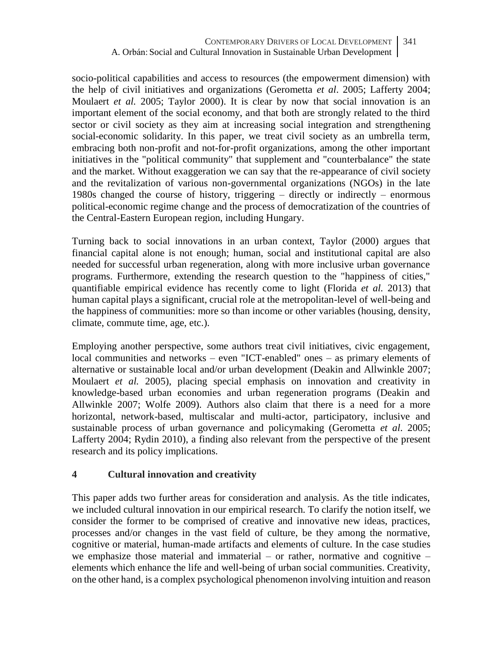socio-political capabilities and access to resources (the empowerment dimension) with the help of civil initiatives and organizations (Gerometta *et al*. 2005; Lafferty 2004; Moulaert *et al.* 2005; Taylor 2000). It is clear by now that social innovation is an important element of the social economy, and that both are strongly related to the third sector or civil society as they aim at increasing social integration and strengthening social-economic solidarity. In this paper, we treat civil society as an umbrella term, embracing both non-profit and not-for-profit organizations, among the other important initiatives in the "political community" that supplement and "counterbalance" the state and the market. Without exaggeration we can say that the re-appearance of civil society and the revitalization of various non-governmental organizations (NGOs) in the late 1980s changed the course of history, triggering – directly or indirectly – enormous political-economic regime change and the process of democratization of the countries of the Central-Eastern European region, including Hungary.

Turning back to social innovations in an urban context, Taylor (2000) argues that financial capital alone is not enough; human, social and institutional capital are also needed for successful urban regeneration, along with more inclusive urban governance programs. Furthermore, extending the research question to the "happiness of cities," quantifiable empirical evidence has recently come to light (Florida *et al.* 2013) that human capital plays a significant, crucial role at the metropolitan-level of well-being and the happiness of communities: more so than income or other variables (housing, density, climate, commute time, age, etc.).

Employing another perspective, some authors treat civil initiatives, civic engagement, local communities and networks – even "ICT-enabled" ones – as primary elements of alternative or sustainable local and/or urban development (Deakin and Allwinkle 2007; Moulaert *et al.* 2005), placing special emphasis on innovation and creativity in knowledge-based urban economies and urban regeneration programs (Deakin and Allwinkle 2007; Wolfe 2009). Authors also claim that there is a need for a more horizontal, network-based, multiscalar and multi-actor, participatory, inclusive and sustainable process of urban governance and policymaking (Gerometta *et al*. 2005; Lafferty 2004; Rydin 2010), a finding also relevant from the perspective of the present research and its policy implications.

# **4 Cultural innovation and creativity**

This paper adds two further areas for consideration and analysis. As the title indicates, we included cultural innovation in our empirical research. To clarify the notion itself, we consider the former to be comprised of creative and innovative new ideas, practices, processes and/or changes in the vast field of culture, be they among the normative, cognitive or material, human-made artifacts and elements of culture. In the case studies we emphasize those material and immaterial – or rather, normative and cognitive  $$ elements which enhance the life and well-being of urban social communities. Creativity, on the other hand, is a complex psychological phenomenon involving intuition and reason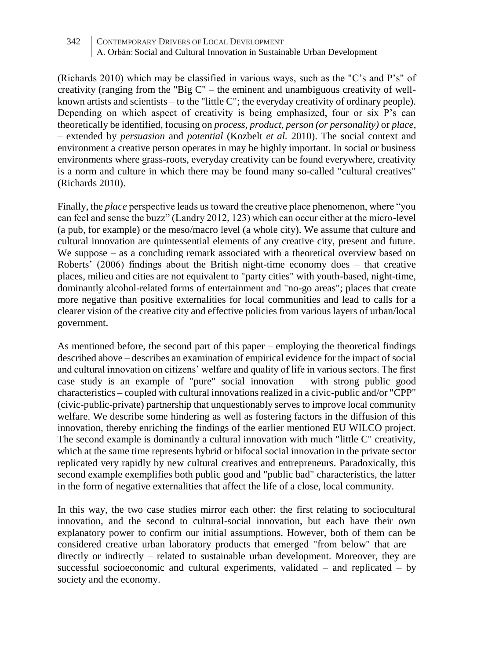342 CONTEMPORARY DRIVERS OF LOCAL DEVELOPMENT A. Orbán: Social and Cultural Innovation in Sustainable Urban Development

(Richards 2010) which may be classified in various ways, such as the "C's and P's" of creativity (ranging from the "Big C" – the eminent and unambiguous creativity of wellknown artists and scientists – to the "little C"; the everyday creativity of ordinary people). Depending on which aspect of creativity is being emphasized, four or six P's can theoretically be identified, focusing on *process, product, person (or personality)* or *place*, – extended by *persuasion* and *potential* (Kozbelt *et al.* 2010). The social context and environment a creative person operates in may be highly important. In social or business environments where grass-roots, everyday creativity can be found everywhere, creativity is a norm and culture in which there may be found many so-called "cultural creatives" (Richards 2010).

Finally, the *place* perspective leads us toward the creative place phenomenon, where "you can feel and sense the buzz" (Landry 2012, 123) which can occur either at the micro-level (a pub, for example) or the meso/macro level (a whole city). We assume that culture and cultural innovation are quintessential elements of any creative city, present and future. We suppose – as a concluding remark associated with a theoretical overview based on Roberts' (2006) findings about the British night-time economy does – that creative places, milieu and cities are not equivalent to "party cities" with youth-based, night-time, dominantly alcohol-related forms of entertainment and "no-go areas"; places that create more negative than positive externalities for local communities and lead to calls for a clearer vision of the creative city and effective policies from various layers of urban/local government.

As mentioned before, the second part of this paper – employing the theoretical findings described above – describes an examination of empirical evidence for the impact of social and cultural innovation on citizens' welfare and quality of life in various sectors. The first case study is an example of "pure" social innovation – with strong public good characteristics – coupled with cultural innovations realized in a civic-public and/or "CPP" (civic-public-private) partnership that unquestionably serves to improve local community welfare. We describe some hindering as well as fostering factors in the diffusion of this innovation, thereby enriching the findings of the earlier mentioned EU WILCO project. The second example is dominantly a cultural innovation with much "little C" creativity, which at the same time represents hybrid or bifocal social innovation in the private sector replicated very rapidly by new cultural creatives and entrepreneurs. Paradoxically, this second example exemplifies both public good and "public bad" characteristics, the latter in the form of negative externalities that affect the life of a close, local community.

In this way, the two case studies mirror each other: the first relating to sociocultural innovation, and the second to cultural-social innovation, but each have their own explanatory power to confirm our initial assumptions. However, both of them can be considered creative urban laboratory products that emerged "from below" that are – directly or indirectly – related to sustainable urban development. Moreover, they are successful socioeconomic and cultural experiments, validated – and replicated – by society and the economy.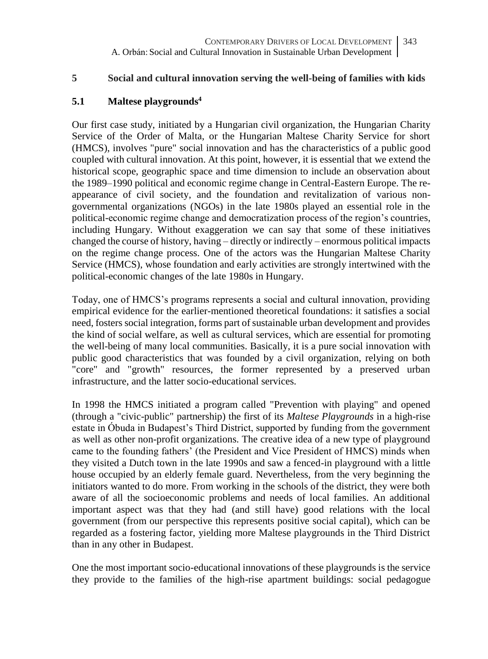## **5 Social and cultural innovation serving the well-being of families with kids**

# **5.1 Maltese playgrounds<sup>4</sup>**

Our first case study, initiated by a Hungarian civil organization, the Hungarian Charity Service of the Order of Malta, or the Hungarian Maltese Charity Service for short (HMCS), involves "pure" social innovation and has the characteristics of a public good coupled with cultural innovation. At this point, however, it is essential that we extend the historical scope, geographic space and time dimension to include an observation about the 1989–1990 political and economic regime change in Central-Eastern Europe. The reappearance of civil society, and the foundation and revitalization of various nongovernmental organizations (NGOs) in the late 1980s played an essential role in the political-economic regime change and democratization process of the region's countries, including Hungary. Without exaggeration we can say that some of these initiatives changed the course of history, having – directly or indirectly – enormous political impacts on the regime change process. One of the actors was the Hungarian Maltese Charity Service (HMCS), whose foundation and early activities are strongly intertwined with the political-economic changes of the late 1980s in Hungary.

Today, one of HMCS's programs represents a social and cultural innovation, providing empirical evidence for the earlier-mentioned theoretical foundations: it satisfies a social need, fosters social integration, forms part of sustainable urban development and provides the kind of social welfare, as well as cultural services, which are essential for promoting the well-being of many local communities. Basically, it is a pure social innovation with public good characteristics that was founded by a civil organization, relying on both "core" and "growth" resources, the former represented by a preserved urban infrastructure, and the latter socio-educational services.

In 1998 the HMCS initiated a program called "Prevention with playing" and opened (through a "civic-public" partnership) the first of its *Maltese Playgrounds* in a high-rise estate in Óbuda in Budapest's Third District, supported by funding from the government as well as other non-profit organizations. The creative idea of a new type of playground came to the founding fathers' (the President and Vice President of HMCS) minds when they visited a Dutch town in the late 1990s and saw a fenced-in playground with a little house occupied by an elderly female guard. Nevertheless, from the very beginning the initiators wanted to do more. From working in the schools of the district, they were both aware of all the socioeconomic problems and needs of local families. An additional important aspect was that they had (and still have) good relations with the local government (from our perspective this represents positive social capital), which can be regarded as a fostering factor, yielding more Maltese playgrounds in the Third District than in any other in Budapest.

One the most important socio-educational innovations of these playgrounds is the service they provide to the families of the high-rise apartment buildings: social pedagogue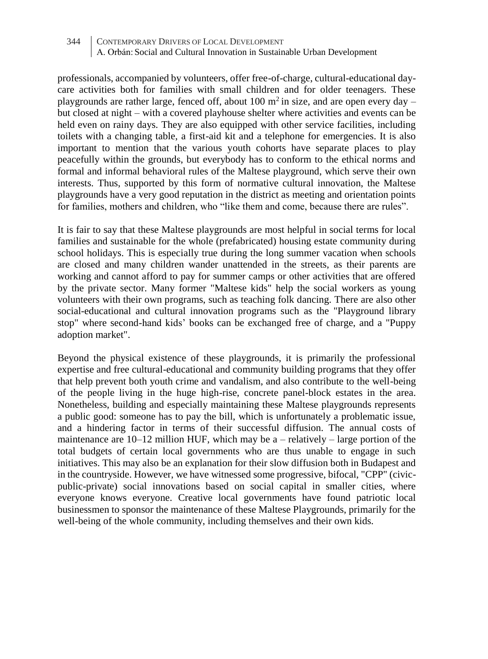professionals, accompanied by volunteers, offer free-of-charge, cultural-educational daycare activities both for families with small children and for older teenagers. These playgrounds are rather large, fenced off, about 100  $\mathrm{m}^2$  in size, and are open every day – but closed at night – with a covered playhouse shelter where activities and events can be held even on rainy days. They are also equipped with other service facilities, including toilets with a changing table, a first-aid kit and a telephone for emergencies. It is also important to mention that the various youth cohorts have separate places to play peacefully within the grounds, but everybody has to conform to the ethical norms and formal and informal behavioral rules of the Maltese playground, which serve their own interests. Thus, supported by this form of normative cultural innovation, the Maltese playgrounds have a very good reputation in the district as meeting and orientation points for families, mothers and children, who "like them and come, because there are rules".

It is fair to say that these Maltese playgrounds are most helpful in social terms for local families and sustainable for the whole (prefabricated) housing estate community during school holidays. This is especially true during the long summer vacation when schools are closed and many children wander unattended in the streets, as their parents are working and cannot afford to pay for summer camps or other activities that are offered by the private sector. Many former "Maltese kids" help the social workers as young volunteers with their own programs, such as teaching folk dancing. There are also other social-educational and cultural innovation programs such as the "Playground library stop" where second-hand kids' books can be exchanged free of charge, and a "Puppy adoption market".

Beyond the physical existence of these playgrounds, it is primarily the professional expertise and free cultural-educational and community building programs that they offer that help prevent both youth crime and vandalism, and also contribute to the well-being of the people living in the huge high-rise, concrete panel-block estates in the area. Nonetheless, building and especially maintaining these Maltese playgrounds represents a public good: someone has to pay the bill, which is unfortunately a problematic issue, and a hindering factor in terms of their successful diffusion. The annual costs of maintenance are  $10-12$  million HUF, which may be a – relatively – large portion of the total budgets of certain local governments who are thus unable to engage in such initiatives. This may also be an explanation for their slow diffusion both in Budapest and in the countryside. However, we have witnessed some progressive, bifocal, "CPP" (civicpublic-private) social innovations based on social capital in smaller cities, where everyone knows everyone. Creative local governments have found patriotic local businessmen to sponsor the maintenance of these Maltese Playgrounds, primarily for the well-being of the whole community, including themselves and their own kids.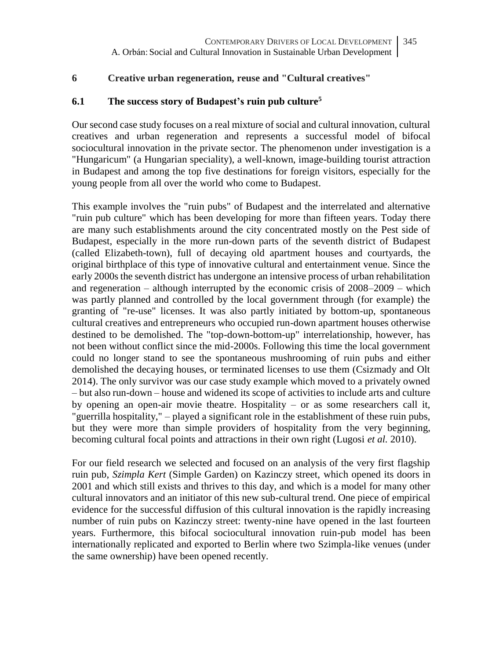## **6 Creative urban regeneration, reuse and "Cultural creatives"**

## **6.1 The success story of Budapest's ruin pub culture<sup>5</sup>**

Our second case study focuses on a real mixture of social and cultural innovation, cultural creatives and urban regeneration and represents a successful model of bifocal sociocultural innovation in the private sector. The phenomenon under investigation is a "Hungaricum" (a Hungarian speciality), a well-known, image-building tourist attraction in Budapest and among the top five destinations for foreign visitors, especially for the young people from all over the world who come to Budapest.

This example involves the "ruin pubs" of Budapest and the interrelated and alternative "ruin pub culture" which has been developing for more than fifteen years. Today there are many such establishments around the city concentrated mostly on the Pest side of Budapest, especially in the more run-down parts of the seventh district of Budapest (called Elizabeth-town), full of decaying old apartment houses and courtyards, the original birthplace of this type of innovative cultural and entertainment venue. Since the early 2000s the seventh district has undergone an intensive process of urban rehabilitation and regeneration – although interrupted by the economic crisis of 2008–2009 – which was partly planned and controlled by the local government through (for example) the granting of "re-use" licenses. It was also partly initiated by bottom-up, spontaneous cultural creatives and entrepreneurs who occupied run-down apartment houses otherwise destined to be demolished. The "top-down-bottom-up" interrelationship, however, has not been without conflict since the mid-2000s. Following this time the local government could no longer stand to see the spontaneous mushrooming of ruin pubs and either demolished the decaying houses, or terminated licenses to use them (Csizmady and Olt 2014). The only survivor was our case study example which moved to a privately owned – but also run-down – house and widened its scope of activities to include arts and culture by opening an open-air movie theatre. Hospitality – or as some researchers call it, "guerrilla hospitality," – played a significant role in the establishment of these ruin pubs, but they were more than simple providers of hospitality from the very beginning, becoming cultural focal points and attractions in their own right (Lugosi *et al.* 2010).

For our field research we selected and focused on an analysis of the very first flagship ruin pub, *Szimpla Kert* (Simple Garden) on Kazinczy street, which opened its doors in 2001 and which still exists and thrives to this day, and which is a model for many other cultural innovators and an initiator of this new sub-cultural trend. One piece of empirical evidence for the successful diffusion of this cultural innovation is the rapidly increasing number of ruin pubs on Kazinczy street: twenty-nine have opened in the last fourteen years. Furthermore, this bifocal sociocultural innovation ruin-pub model has been internationally replicated and exported to Berlin where two Szimpla-like venues (under the same ownership) have been opened recently.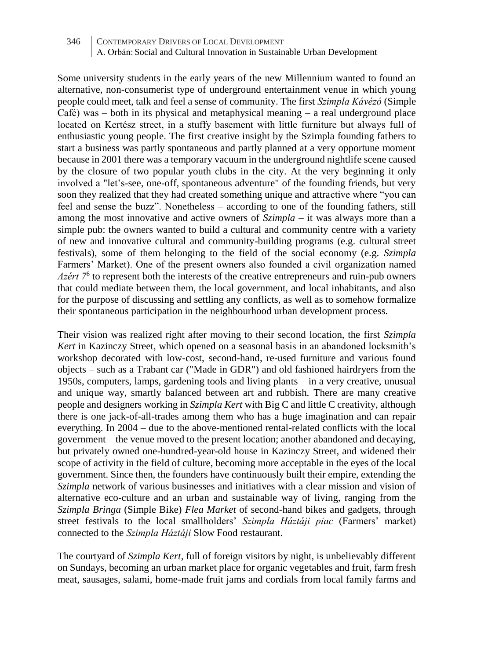Some university students in the early years of the new Millennium wanted to found an alternative, non-consumerist type of underground entertainment venue in which young people could meet, talk and feel a sense of community. The first *Szimpla Kávézó* (Simple  $Caf\acute{e}$ ) was – both in its physical and metaphysical meaning – a real underground place located on Kertész street, in a stuffy basement with little furniture but always full of enthusiastic young people. The first creative insight by the Szimpla founding fathers to start a business was partly spontaneous and partly planned at a very opportune moment because in 2001 there was a temporary vacuum in the underground nightlife scene caused by the closure of two popular youth clubs in the city. At the very beginning it only involved a "let's-see, one-off, spontaneous adventure" of the founding friends, but very soon they realized that they had created something unique and attractive where "you can feel and sense the buzz". Nonetheless – according to one of the founding fathers, still among the most innovative and active owners of *Szimpla* – it was always more than a simple pub: the owners wanted to build a cultural and community centre with a variety of new and innovative cultural and community-building programs (e.g. cultural street festivals), some of them belonging to the field of the social economy (e.g. *Szimpla* Farmers' Market). One of the present owners also founded a civil organization named *Azért* 7<sup>6</sup> to represent both the interests of the creative entrepreneurs and ruin-pub owners that could mediate between them, the local government, and local inhabitants, and also for the purpose of discussing and settling any conflicts, as well as to somehow formalize their spontaneous participation in the neighbourhood urban development process.

Their vision was realized right after moving to their second location, the first *Szimpla Kert* in Kazinczy Street, which opened on a seasonal basis in an abandoned locksmith's workshop decorated with low-cost, second-hand, re-used furniture and various found objects – such as a Trabant car ("Made in GDR") and old fashioned hairdryers from the 1950s, computers, lamps, gardening tools and living plants – in a very creative, unusual and unique way, smartly balanced between art and rubbish. There are many creative people and designers working in *Szimpla Kert* with Big C and little C creativity, although there is one jack-of-all-trades among them who has a huge imagination and can repair everything. In 2004 – due to the above-mentioned rental-related conflicts with the local government – the venue moved to the present location; another abandoned and decaying, but privately owned one-hundred-year-old house in Kazinczy Street, and widened their scope of activity in the field of culture, becoming more acceptable in the eyes of the local government. Since then, the founders have continuously built their empire, extending the *Szimpla* network of various businesses and initiatives with a clear mission and vision of alternative eco-culture and an urban and sustainable way of living, ranging from the *Szimpla Bringa* (Simple Bike) *Flea Market* of second-hand bikes and gadgets, through street festivals to the local smallholders' *Szimpla Háztáji piac* (Farmers' market) connected to the *Szimpla Háztáji* Slow Food restaurant.

The courtyard of *Szimpla Kert*, full of foreign visitors by night, is unbelievably different on Sundays, becoming an urban market place for organic vegetables and fruit, farm fresh meat, sausages, salami, home-made fruit jams and cordials from local family farms and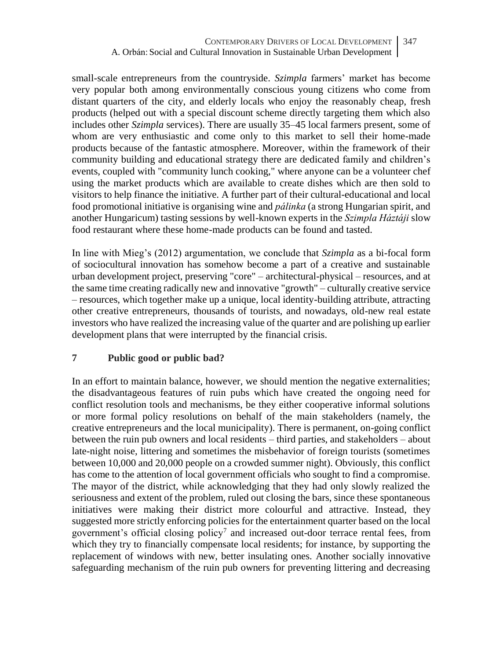small-scale entrepreneurs from the countryside. *Szimpla* farmers' market has become very popular both among environmentally conscious young citizens who come from distant quarters of the city, and elderly locals who enjoy the reasonably cheap, fresh products (helped out with a special discount scheme directly targeting them which also includes other *Szimpla* services). There are usually 35–45 local farmers present, some of whom are very enthusiastic and come only to this market to sell their home-made products because of the fantastic atmosphere. Moreover, within the framework of their community building and educational strategy there are dedicated family and children's events, coupled with "community lunch cooking," where anyone can be a volunteer chef using the market products which are available to create dishes which are then sold to visitors to help finance the initiative. A further part of their cultural-educational and local food promotional initiative is organising wine and *pálinka* (a strong Hungarian spirit, and another Hungaricum) tasting sessions by well-known experts in the *Szimpla Háztáji* slow food restaurant where these home-made products can be found and tasted.

In line with Mieg's (2012) argumentation, we conclude that *Szimpla* as a bi-focal form of sociocultural innovation has somehow become a part of a creative and sustainable urban development project, preserving "core" – architectural-physical – resources, and at the same time creating radically new and innovative "growth" – culturally creative service – resources, which together make up a unique, local identity-building attribute, attracting other creative entrepreneurs, thousands of tourists, and nowadays, old-new real estate investors who have realized the increasing value of the quarter and are polishing up earlier development plans that were interrupted by the financial crisis.

# **7 Public good or public bad?**

In an effort to maintain balance, however, we should mention the negative externalities; the disadvantageous features of ruin pubs which have created the ongoing need for conflict resolution tools and mechanisms, be they either cooperative informal solutions or more formal policy resolutions on behalf of the main stakeholders (namely, the creative entrepreneurs and the local municipality). There is permanent, on-going conflict between the ruin pub owners and local residents – third parties, and stakeholders – about late-night noise, littering and sometimes the misbehavior of foreign tourists (sometimes between 10,000 and 20,000 people on a crowded summer night). Obviously, this conflict has come to the attention of local government officials who sought to find a compromise. The mayor of the district, while acknowledging that they had only slowly realized the seriousness and extent of the problem, ruled out closing the bars, since these spontaneous initiatives were making their district more colourful and attractive. Instead, they suggested more strictly enforcing policies for the entertainment quarter based on the local government's official closing policy<sup>7</sup> and increased out-door terrace rental fees, from which they try to financially compensate local residents; for instance, by supporting the replacement of windows with new, better insulating ones. Another socially innovative safeguarding mechanism of the ruin pub owners for preventing littering and decreasing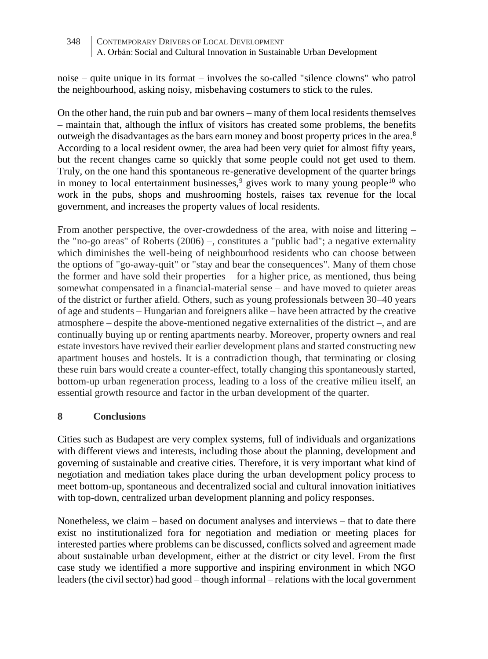noise – quite unique in its format – involves the so-called "silence clowns" who patrol the neighbourhood, asking noisy, misbehaving costumers to stick to the rules.

On the other hand, the ruin pub and bar owners – many of them local residents themselves – maintain that, although the influx of visitors has created some problems, the benefits outweigh the disadvantages as the bars earn money and boost property prices in the area.<sup>8</sup> According to a local resident owner, the area had been very quiet for almost fifty years, but the recent changes came so quickly that some people could not get used to them. Truly, on the one hand this spontaneous re-generative development of the quarter brings in money to local entertainment businesses, $9$  gives work to many young people<sup>10</sup> who work in the pubs, shops and mushrooming hostels, raises tax revenue for the local government, and increases the property values of local residents.

From another perspective, the over-crowdedness of the area, with noise and littering – the "no-go areas" of Roberts (2006) –, constitutes a "public bad"; a negative externality which diminishes the well-being of neighbourhood residents who can choose between the options of "go-away-quit" or "stay and bear the consequences". Many of them chose the former and have sold their properties – for a higher price, as mentioned, thus being somewhat compensated in a financial-material sense – and have moved to quieter areas of the district or further afield. Others, such as young professionals between 30–40 years of age and students – Hungarian and foreigners alike – have been attracted by the creative atmosphere – despite the above-mentioned negative externalities of the district –, and are continually buying up or renting apartments nearby. Moreover, property owners and real estate investors have revived their earlier development plans and started constructing new apartment houses and hostels. It is a contradiction though, that terminating or closing these ruin bars would create a counter-effect, totally changing this spontaneously started, bottom-up urban regeneration process, leading to a loss of the creative milieu itself, an essential growth resource and factor in the urban development of the quarter.

# **8 Conclusions**

Cities such as Budapest are very complex systems, full of individuals and organizations with different views and interests, including those about the planning, development and governing of sustainable and creative cities. Therefore, it is very important what kind of negotiation and mediation takes place during the urban development policy process to meet bottom-up, spontaneous and decentralized social and cultural innovation initiatives with top-down, centralized urban development planning and policy responses.

Nonetheless, we claim – based on document analyses and interviews – that to date there exist no institutionalized fora for negotiation and mediation or meeting places for interested parties where problems can be discussed, conflicts solved and agreement made about sustainable urban development, either at the district or city level. From the first case study we identified a more supportive and inspiring environment in which NGO leaders (the civil sector) had good – though informal – relations with the local government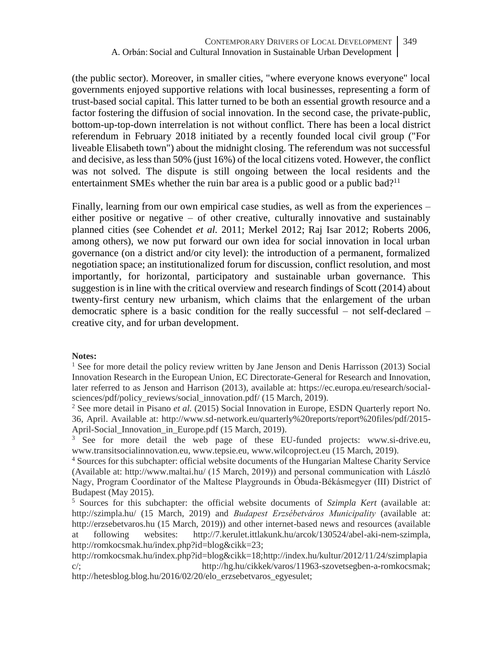(the public sector). Moreover, in smaller cities, "where everyone knows everyone" local governments enjoyed supportive relations with local businesses, representing a form of trust-based social capital. This latter turned to be both an essential growth resource and a factor fostering the diffusion of social innovation. In the second case, the private-public, bottom-up-top-down interrelation is not without conflict. There has been a local district referendum in February 2018 initiated by a recently founded local civil group ("For liveable Elisabeth town") about the midnight closing. The referendum was not successful and decisive, as less than  $50\%$  (just  $16\%$ ) of the local citizens voted. However, the conflict was not solved. The dispute is still ongoing between the local residents and the entertainment SMEs whether the ruin bar area is a public good or a public bad?<sup>11</sup>

Finally, learning from our own empirical case studies, as well as from the experiences – either positive or negative – of other creative, culturally innovative and sustainably planned cities (see Cohendet *et al.* 2011; Merkel 2012; Raj Isar 2012; Roberts 2006, among others), we now put forward our own idea for social innovation in local urban governance (on a district and/or city level): the introduction of a permanent, formalized negotiation space; an institutionalized forum for discussion, conflict resolution, and most importantly, for horizontal, participatory and sustainable urban governance. This suggestion is in line with the critical overview and research findings of Scott (2014) about twenty-first century new urbanism, which claims that the enlargement of the urban democratic sphere is a basic condition for the really successful – not self-declared – creative city, and for urban development.

#### **Notes:**

<sup>1</sup> See for more detail the policy review written by Jane Jenson and Denis Harrisson (2013) Social Innovation Research in the European Union, EC Directorate-General for Research and Innovation, later referred to as Jenson and Harrison (2013), available at: https://ec.europa.eu/research/socialsciences/pdf/policy\_reviews/social\_innovation.pdf/ (15 March, 2019).

<sup>2</sup> See more detail in Pisano *et al.* (2015) Social Innovation in Europe, ESDN Quarterly report No. 36, April. Available at: http://www.sd-network.eu/quarterly%20reports/report%20files/pdf/2015- April-Social Innovation in Europe.pdf (15 March, 2019).

<sup>3</sup> See for more detail the web page of these EU-funded projects: [www.si-drive.eu,](http://www.si-drive.eu/) [www.transitsocialinnovation.eu,](http://www.transitsocialinnovation.eu/) [www.tepsie.eu,](http://www.tepsie.eu/) www.wilcoproject.eu (15 March, 2019).

<sup>4</sup> Sources for this subchapter: official website documents of the Hungarian Maltese Charity Service (Available at:<http://www.maltai.hu/> (15 March, 2019)) and personal communication with László Nagy, Program Coordinator of the Maltese Playgrounds in Óbuda-Békásmegyer (III) District of Budapest (May 2015).

<sup>5</sup> Sources for this subchapter: the official website documents of *Szimpla Kert* (available at: http://szimpla.hu/ (15 March, 2019) and *Budapest Erzsébetváros Municipality* (available at: [http:/](http://szimpla.hu/)/erzsebetvaros.hu (15 March, 2019)) and other internet-based news and resources (available at following websites: [http://7.kerulet.ittlakunk.hu/arcok/130524/abel-aki-nem-szimpla,](http://7.kerulet.ittlakunk.hu/arcok/130524/abel-aki-nem-szimpla) [http://romkocsmak.hu/index.php?id=blog&cikk=23;](http://romkocsmak.hu/index.php?id=blog&cikk=23)

http://romkocsmak.hu/index.php?id=blog&cikk=18[;http://index.hu/kultur/2012/11/24/szimplapia](http://index.hu/kultur/2012/11/24/szimplapiac/) [c/;](http://index.hu/kultur/2012/11/24/szimplapiac/) http://hg.hu/cikkek/varos/11963-szovetsegben-a-romkocsmak; http://hetesblog.blog.hu/2016/02/20/elo\_erzsebetvaros\_egyesulet: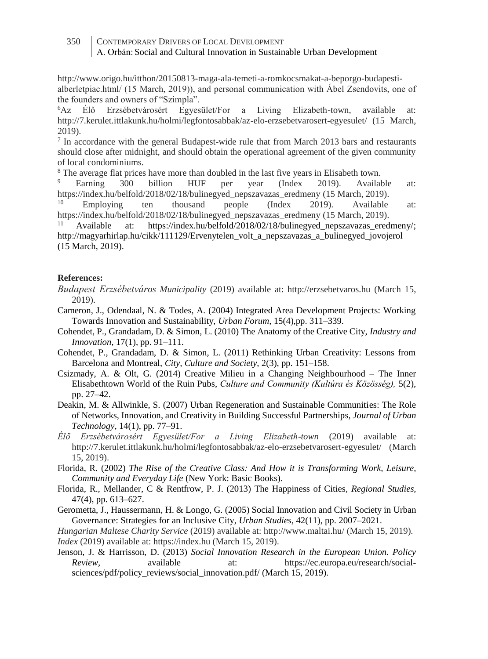- http://www.origo.hu/itthon/20150813-maga-ala-temeti-a-romkocsmakat-a-beporgo-budapestialberletpiac.html/ (15 March, 2019)), and personal communication with Ábel Zsendovits, one of the founders and owners of "Szimpla".

<sup>6</sup>Az Élő Erzsébetvárosért Egyesület/For a Living Elizabeth-town, available at: http://7.kerulet.ittlakunk.hu/holmi/legfontosabbak/az-elo-erzsebetvarosert-egyesulet/ (15 March, 2019).

7 In accordance with the general Budapest-wide rule that from March 2013 bars and restaurants should close after midnight, and should obtain the operational agreement of the given community of local condominiums.

<sup>8</sup> The average flat prices have more than doubled in the last five years in Elisabeth town.<br><sup>9</sup> Earning 200 billion HIE per year (Index 2010) Availab

<sup>9</sup> Earning 300 billion HUF per year (Index 2019). Available at: [https://index.hu/belfold/2018/02/18/bulinegyed\\_nepszavazas\\_eredmeny](https://index.hu/belfold/2018/02/18/bulinegyed_nepszavazas_eredmeny) (15 March, 2019).<br><sup>10</sup> Employing ten thousand people (Index 2019). Available

<sup>10</sup> Employing ten thousand people (Index 2019). Available at: [https://index.hu/belfold/2018/02/18/bulinegyed\\_nepszavazas\\_eredmeny](https://index.hu/belfold/2018/02/18/bulinegyed_nepszavazas_eredmeny) (15 March, 2019).

<sup>11</sup> Available at: [https://index.hu/belfold/2018/02/18/bulinegyed\\_nepszavazas\\_eredmeny/;](https://index.hu/belfold/2018/02/18/bulinegyed_nepszavazas_eredmeny/) [http://magyarhirlap.hu/cikk/111129/Ervenytelen\\_volt\\_a\\_nepszavazas\\_a\\_bulinegyed\\_jovojerol](http://magyarhirlap.hu/cikk/111129/Ervenytelen_volt_a_nepszavazas_a_bulinegyed_jovojerol) (15 March, 2019).

#### **References:**

- *Budapest Erzsébetváros Municipality* (2019) available at: [http:/](http://szimpla.hu/)/erzsebetvaros.hu (March 15, 2019).
- Cameron, J., Odendaal, N. & Todes, A. (2004) Integrated Area Development Projects: Working Towards Innovation and Sustainability, *Urban Forum,* 15(4),pp. 311–339.
- Cohendet, P., Grandadam, D. & Simon, L. (2010) The Anatomy of the Creative City, *Industry and Innovation,* 17(1), pp. 91–111.
- Cohendet, P., Grandadam, D. & Simon, L. (2011) Rethinking Urban Creativity: Lessons from Barcelona and Montreal, *City, Culture and Society,* 2(3), pp. 151–158.
- Csizmady, A. & Olt, G. (2014) Creative Milieu in a Changing Neighbourhood The Inner Elisabethtown World of the Ruin Pubs, *Culture and Community (Kultúra és Közösség),* 5(2), pp. 27–42.
- Deakin, M. & Allwinkle, S. (2007) Urban Regeneration and Sustainable Communities: The Role of Networks, Innovation, and Creativity in Building Successful Partnerships, *Journal of Urban Technology,* 14(1), pp. 77–91.
- *Élő Erzsébetvárosért Egyesület/For a Living Elizabeth-town* (2019) available at: http://7.kerulet.ittlakunk.hu/holmi/legfontosabbak/az-elo-erzsebetvarosert-egyesulet/ (March 15, 2019).

Florida, R. (2002) *The Rise of the Creative Class: And How it is Transforming Work, Leisure, Community and Everyday Life* (New York: Basic Books).

- Florida, R., Mellander, C & Rentfrow, P. J. (2013) The Happiness of Cities, *Regional Studies,* 47(4), pp. 613–627.
- Gerometta, J., Haussermann, H. & Longo, G. (2005) Social Innovation and Civil Society in Urban Governance: Strategies for an Inclusive City, *Urban Studies,* 42(11), pp. 2007–2021.

*Hungarian Maltese Charity Service* (2019) available at:<http://www.maltai.hu/> (March 15, 2019). *Index* (2019) available at: https://index.hu (March 15, 2019).

Jenson, J. & Harrisson, D. (2013) *Social Innovation Research in the European Union. Policy Review,* available at: [https://ec.europa.eu/research/social](https://ec.europa.eu/research/social-sciences/pdf/policy_reviews/social_innovation.pdf)[sciences/pdf/policy\\_reviews/social\\_innovation.pdf/](https://ec.europa.eu/research/social-sciences/pdf/policy_reviews/social_innovation.pdf) (March 15, 2019).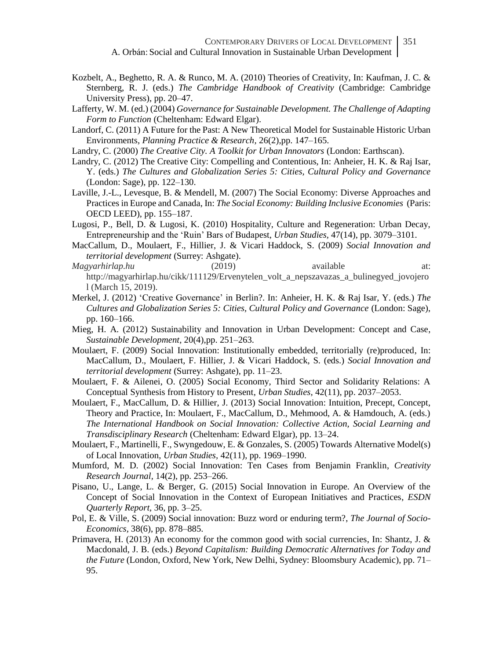- Kozbelt, A., Beghetto, R. A. & Runco, M. A. (2010) Theories of Creativity, In: Kaufman, J. C. & Sternberg, R. J. (eds.) *The Cambridge Handbook of Creativity* (Cambridge: Cambridge University Press), pp. 20–47.
- Lafferty, W. M. (ed.) (2004) *Governance for Sustainable Development. The Challenge of Adapting Form to Function* (Cheltenham: Edward Elgar).
- Landorf, C. (2011) A Future for the Past: A New Theoretical Model for Sustainable Historic Urban Environments, *Planning Practice & Research,* 26(2),pp. 147–165.
- Landry, C. (2000) *The Creative City. A Toolkit for Urban Innovators* (London: Earthscan).
- Landry, C. (2012) The Creative City: Compelling and Contentious, In: Anheier, H. K. & Raj Isar, Y. (eds.) *The Cultures and Globalization Series 5: Cities, Cultural Policy and Governance* (London: Sage), pp. 122–130.
- Laville, J.-L., Levesque, B. & Mendell, M. (2007) The Social Economy: Diverse Approaches and Practices in Europe and Canada, In: *The Social Economy: Building Inclusive Economies* (Paris: OECD LEED), pp. 155–187.
- Lugosi, P., Bell, D. & Lugosi, K. (2010) Hospitality, Culture and Regeneration: Urban Decay, Entrepreneurship and the 'Ruin' Bars of Budapest, *Urban Studies,* 47(14), pp. 3079–3101.
- MacCallum, D., Moulaert, F., Hillier, J. & Vicari Haddock, S. (2009) *Social Innovation and territorial development* (Surrey: Ashgate).
- *Magyarhirlap.hu* (2019) available at: [http://magyarhirlap.hu/cikk/111129/Ervenytelen\\_volt\\_a\\_nepszavazas\\_a\\_bulinegyed\\_jovojero](http://magyarhirlap.hu/cikk/111129/Ervenytelen_volt_a_nepszavazas_a_bulinegyed_jovojerol) [l](http://magyarhirlap.hu/cikk/111129/Ervenytelen_volt_a_nepszavazas_a_bulinegyed_jovojerol) (March 15, 2019).
- Merkel, J. (2012) 'Creative Governance' in Berlin?. In: Anheier, H. K. & Raj Isar, Y. (eds.) *The Cultures and Globalization Series 5: Cities, Cultural Policy and Governance* (London: Sage), pp. 160–166.
- Mieg, H. A. (2012) Sustainability and Innovation in Urban Development: Concept and Case, *Sustainable Development,* 20(4),pp. 251–263.
- Moulaert, F. (2009) Social Innovation: Institutionally embedded, territorially (re)produced, In: MacCallum, D., Moulaert, F. Hillier, J. & Vicari Haddock, S. (eds.) *Social Innovation and territorial development* (Surrey: Ashgate), pp. 11–23.
- Moulaert, F. & Ailenei, O. (2005) Social Economy, Third Sector and Solidarity Relations: A Conceptual Synthesis from History to Present, *Urban Studies,* 42(11), pp. 2037–2053.
- Moulaert, F., MacCallum, D. & Hillier, J. (2013) Social Innovation: Intuition, Precept, Concept, Theory and Practice, In: Moulaert, F., MacCallum, D., Mehmood, A. & Hamdouch, A. (eds.) *The International Handbook on Social Innovation: Collective Action, Social Learning and Transdisciplinary Research* (Cheltenham: Edward Elgar), pp. 13–24.
- Moulaert, F., Martinelli, F., Swyngedouw, E. & Gonzales, S. (2005) Towards Alternative Model(s) of Local Innovation, *Urban Studies,* 42(11), pp. 1969–1990.
- Mumford, M. D. (2002) Social Innovation: Ten Cases from Benjamin Franklin, *Creativity Research Journal,* 14(2), pp. 253–266.
- Pisano, U., Lange, L. & Berger, G. (2015) Social Innovation in Europe. An Overview of the Concept of Social Innovation in the Context of European Initiatives and Practices, *ESDN Quarterly Report,* 36, pp. 3–25.
- Pol, E. & Ville, S. (2009) Social innovation: Buzz word or enduring term?, *The Journal of Socio-Economics,* 38(6), pp. 878–885.
- Primavera, H. (2013) An economy for the common good with social currencies, In: Shantz, J. & Macdonald, J. B. (eds.) *Beyond Capitalism: Building Democratic Alternatives for Today and the Future* (London, Oxford, New York, New Delhi, Sydney: Bloomsbury Academic), pp. 71– 95.